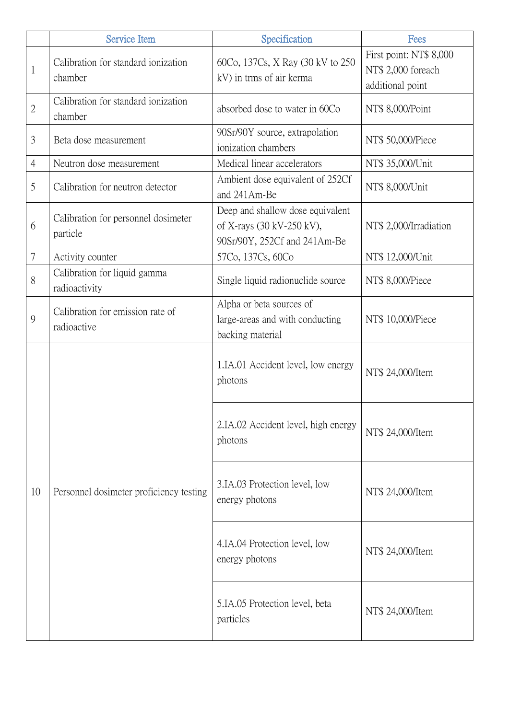|                | <b>Service Item</b>                             | Specification                                                                                 | Fees                                                              |
|----------------|-------------------------------------------------|-----------------------------------------------------------------------------------------------|-------------------------------------------------------------------|
| $\mathbf{1}$   | Calibration for standard ionization<br>chamber  | 60Co, 137Cs, X Ray (30 kV to 250)<br>kV) in trms of air kerma                                 | First point: NT\$ 8,000<br>NT\$ 2,000 foreach<br>additional point |
| $\overline{2}$ | Calibration for standard ionization<br>chamber  | absorbed dose to water in 60Co                                                                | NT\$ 8,000/Point                                                  |
| 3              | Beta dose measurement                           | 90Sr/90Y source, extrapolation<br>ionization chambers                                         | NT\$ 50,000/Piece                                                 |
| $\overline{4}$ | Neutron dose measurement                        | Medical linear accelerators                                                                   | NT\$ 35,000/Unit                                                  |
| 5              | Calibration for neutron detector                | Ambient dose equivalent of 252Cf<br>and 241Am-Be                                              | NT\$ 8,000/Unit                                                   |
| 6              | Calibration for personnel dosimeter<br>particle | Deep and shallow dose equivalent<br>of X-rays (30 kV-250 kV),<br>90Sr/90Y, 252Cf and 241Am-Be | NT\$ 2,000/Irradiation                                            |
| 7              | Activity counter                                | 57Co, 137Cs, 60Co                                                                             | NT\$ 12,000/Unit                                                  |
| 8              | Calibration for liquid gamma<br>radioactivity   | Single liquid radionuclide source                                                             | NT\$ 8,000/Piece                                                  |
| 9              | Calibration for emission rate of<br>radioactive | Alpha or beta sources of<br>large-areas and with conducting<br>backing material               | NT\$ 10,000/Piece                                                 |
| 10             | Personnel dosimeter proficiency testing         | 1.IA.01 Accident level, low energy<br>photons                                                 | NT\$ 24,000/Item                                                  |
|                |                                                 | 2.IA.02 Accident level, high energy<br>photons                                                | NT\$ 24,000/Item                                                  |
|                |                                                 | 3.IA.03 Protection level, low<br>energy photons                                               | NT\$ 24,000/Item                                                  |
|                |                                                 | 4.IA.04 Protection level, low<br>energy photons                                               | NT\$ 24,000/Item                                                  |
|                |                                                 | 5.IA.05 Protection level, beta<br>particles                                                   | NT\$ 24,000/Item                                                  |